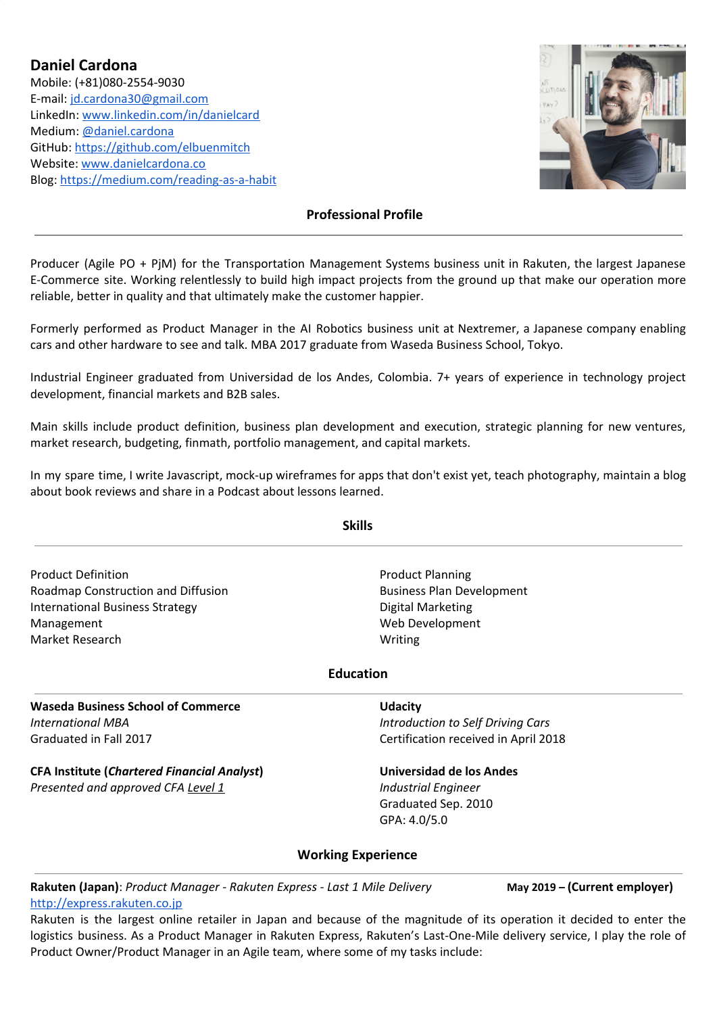**Daniel Cardona** Mobile: (+81)080-2554-9030 E-mail: [jd.cardona30@gmail.com](mailto:jd.cardona30@gmail.com) LinkedIn[:](https://medium.com/@daniel.cardona) [www.linkedin.com/in/danielcard](http://www.linkedin.com/in/danielcard) [Medium:](https://medium.com/@daniel.cardona) [@daniel.cardona](https://medium.com/@daniel.cardona) GitHub[:](https://medium.com/@daniel.cardona) https://github.com/elbuenmitch Website: [www.danielcardona.co](http://www.danielcardona.co/) Blog: <https://medium.com/reading-as-a-habit>



# **Professional Profile**

Producer (Agile PO + PjM) for the Transportation Management Systems business unit in Rakuten, the largest Japanese E-Commerce site. Working relentlessly to build high impact projects from the ground up that make our operation more reliable, better in quality and that ultimately make the customer happier.

Formerly performed as Product Manager in the AI Robotics business unit at Nextremer, a Japanese company enabling cars and other hardware to see and talk. MBA 2017 graduate from Waseda Business School, Tokyo.

Industrial Engineer graduated from Universidad de los Andes, Colombia. 7+ years of experience in technology project development, financial markets and B2B sales.

Main skills include product definition, business plan development and execution, strategic planning for new ventures, market research, budgeting, finmath, portfolio management, and capital markets.

In my spare time, I write Javascript, mock-up wireframes for apps that don't exist yet, teach photography, maintain a blog about book reviews and share in a Podcast about lessons learned.

Product Definition Roadmap Construction and Diffusion International Business Strategy Management Market Research

**Skills**

Product Planning Business Plan Development Digital Marketing Web Development Writing

# **Education**

**Waseda Business School of Commerce** *International MBA* Graduated in Fall 2017

**CFA Institute (***Chartered Financial Analyst***)** *Presented and approved CFA Level 1*

**Udacity**

*Introduction to Self Driving Cars* Certification received in April 2018

**Universidad de los Andes** *Industrial Engineer* Graduated Sep. 2010 GPA: 4.0/5.0

# **Working Experience**

**Rakuten (Japan)**: *Product Manager - Rakuten Express - Last 1 Mile Delivery* **May 2019 – (Current employer)** [http://express.rakuten.co.jp](http://express.rakuten.co.jp/)

Rakuten is the largest online retailer in Japan and because of the magnitude of its operation it decided to enter the logistics business. As a Product Manager in Rakuten Express, Rakuten's Last-One-Mile delivery service, I play the role of Product Owner/Product Manager in an Agile team, where some of my tasks include: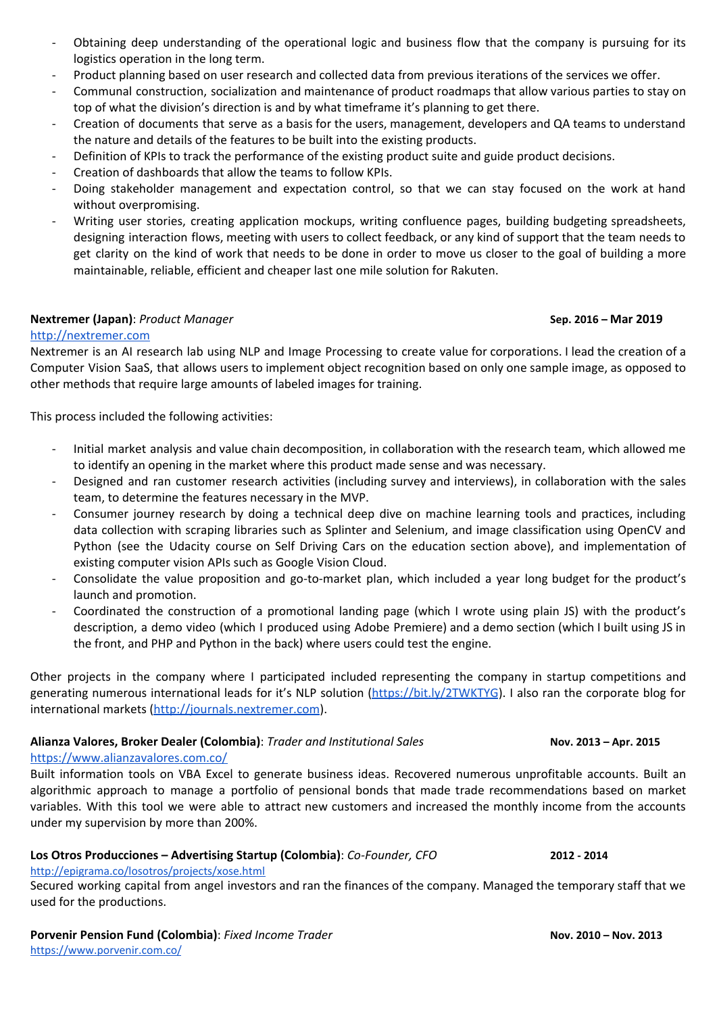- Obtaining deep understanding of the operational logic and business flow that the company is pursuing for its logistics operation in the long term.
- Product planning based on user research and collected data from previous iterations of the services we offer.
- Communal construction, socialization and maintenance of product roadmaps that allow various parties to stay on top of what the division's direction is and by what timeframe it's planning to get there.
- Creation of documents that serve as a basis for the users, management, developers and QA teams to understand the nature and details of the features to be built into the existing products.
- Definition of KPIs to track the performance of the existing product suite and guide product decisions.
- Creation of dashboards that allow the teams to follow KPIs.
- Doing stakeholder management and expectation control, so that we can stay focused on the work at hand without overpromising.
- Writing user stories, creating application mockups, writing confluence pages, building budgeting spreadsheets, designing interaction flows, meeting with users to collect feedback, or any kind of support that the team needs to get clarity on the kind of work that needs to be done in order to move us closer to the goal of building a more maintainable, reliable, efficient and cheaper last one mile solution for Rakuten.

# **Nextremer (Japan)**: *Product Manager* **Sep. 2016 – Mar 2019**

# [http://nextremer.com](http://nextremer.com/)

Nextremer is an AI research lab using NLP and Image Processing to create value for corporations. I lead the creation of a Computer Vision SaaS, that allows users to implement object recognition based on only one sample image, as opposed to other methods that require large amounts of labeled images for training.

This process included the following activities:

- Initial market analysis and value chain decomposition, in collaboration with the research team, which allowed me to identify an opening in the market where this product made sense and was necessary.
- Designed and ran customer research activities (including survey and interviews), in collaboration with the sales team, to determine the features necessary in the MVP.
- Consumer journey research by doing a technical deep dive on machine learning tools and practices, including data collection with scraping libraries such as Splinter and Selenium, and image classification using OpenCV and Python (see the Udacity course on Self Driving Cars on the education section above), and implementation of existing computer vision APIs such as Google Vision Cloud.
- Consolidate the value proposition and go-to-market plan, which included a year long budget for the product's launch and promotion.
- Coordinated the construction of a promotional landing page (which I wrote using plain JS) with the product's description, a demo video (which I produced using Adobe Premiere) and a demo section (which I built using JS in the front, and PHP and Python in the back) where users could test the engine.

Other projects in the company where I participated included representing the company in startup competitions and generating numerous international leads for it's NLP solution [\(https://bit.ly/2TWKTYG](https://bit.ly/2TWKTYG)). I also ran the corporate blog for international markets ([http://journals.nextremer.com](http://journals.nextremer.com/)).

# **Alianza Valores, Broker Dealer (Colombia)**: *Trader and Institutional Sales* **Nov. 2013 – Apr. 2015**

# <https://www.alianzavalores.com.co/>

Built information tools on VBA Excel to generate business ideas. Recovered numerous unprofitable accounts. Built an algorithmic approach to manage a portfolio of pensional bonds that made trade recommendations based on market variables. With this tool we were able to attract new customers and increased the monthly income from the accounts under my supervision by more than 200%.

# **Los Otros Producciones – Advertising Startup (Colombia)**: *Co-Founder, CFO* **2012 - 2014**

#### <http://epigrama.co/losotros/projects/xose.html>

Secured working capital from angel investors and ran the finances of the company. Managed the temporary staff that we used for the productions.